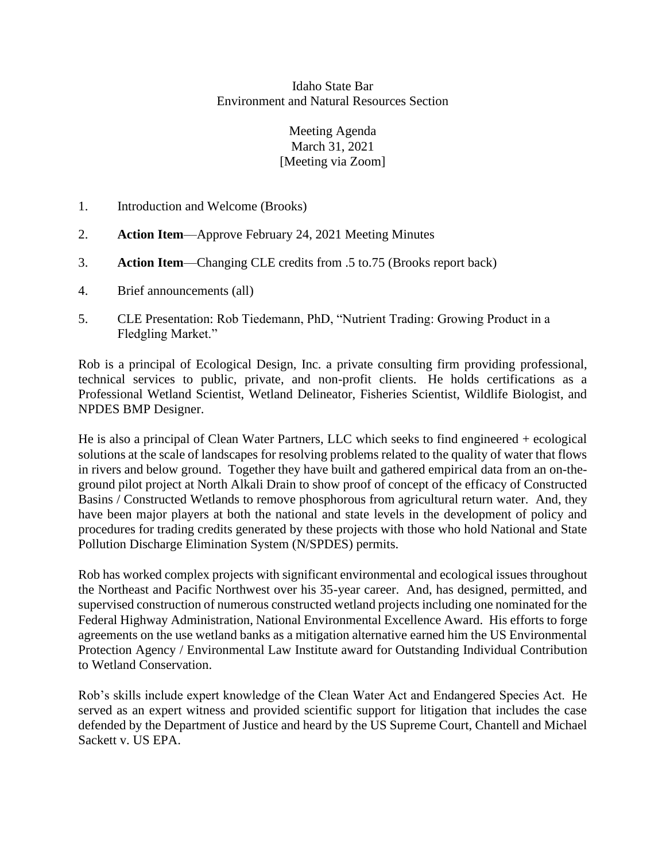## Idaho State Bar Environment and Natural Resources Section

## Meeting Agenda March 31, 2021 [Meeting via Zoom]

- 1. Introduction and Welcome (Brooks)
- 2. **Action Item**—Approve February 24, 2021 Meeting Minutes
- 3. **Action Item**—Changing CLE credits from .5 to.75 (Brooks report back)
- 4. Brief announcements (all)
- 5. CLE Presentation: Rob Tiedemann, PhD, "Nutrient Trading: Growing Product in a Fledgling Market."

Rob is a principal of Ecological Design, Inc. a private consulting firm providing professional, technical services to public, private, and non-profit clients. He holds certifications as a Professional Wetland Scientist, Wetland Delineator, Fisheries Scientist, Wildlife Biologist, and NPDES BMP Designer.

He is also a principal of Clean Water Partners, LLC which seeks to find engineered + ecological solutions at the scale of landscapes for resolving problems related to the quality of water that flows in rivers and below ground. Together they have built and gathered empirical data from an on-theground pilot project at North Alkali Drain to show proof of concept of the efficacy of Constructed Basins / Constructed Wetlands to remove phosphorous from agricultural return water. And, they have been major players at both the national and state levels in the development of policy and procedures for trading credits generated by these projects with those who hold National and State Pollution Discharge Elimination System (N/SPDES) permits.

Rob has worked complex projects with significant environmental and ecological issues throughout the Northeast and Pacific Northwest over his 35-year career. And, has designed, permitted, and supervised construction of numerous constructed wetland projects including one nominated for the Federal Highway Administration, National Environmental Excellence Award. His efforts to forge agreements on the use wetland banks as a mitigation alternative earned him the US Environmental Protection Agency / Environmental Law Institute award for Outstanding Individual Contribution to Wetland Conservation.

Rob's skills include expert knowledge of the Clean Water Act and Endangered Species Act. He served as an expert witness and provided scientific support for litigation that includes the case defended by the Department of Justice and heard by the US Supreme Court, Chantell and Michael Sackett v. US EPA.